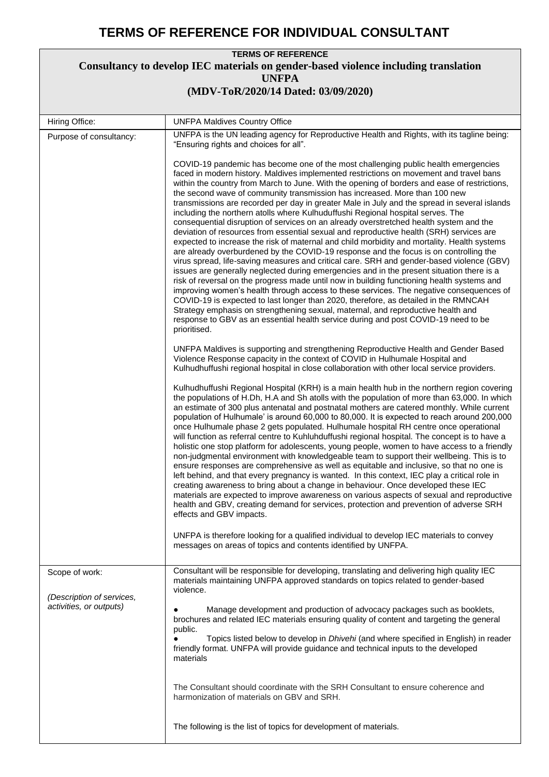## **TERMS OF REFERENCE FOR INDIVIDUAL CONSULTANT**

## **TERMS OF REFERENCE Consultancy to develop IEC materials on gender-based violence including translation UNFPA (MDV-ToR/2020/14 Dated: 03/09/2020)**

| Hiring Office:                                                         | <b>UNFPA Maldives Country Office</b>                                                                                                                                                                                                                                                                                                                                                                                                                                                                                                                                                                                                                                                                                                                                                                                                                                                                                                                                                                                                                                                                                                                                                                                                                                                                                                                                                                                                                                                                                                                                                           |
|------------------------------------------------------------------------|------------------------------------------------------------------------------------------------------------------------------------------------------------------------------------------------------------------------------------------------------------------------------------------------------------------------------------------------------------------------------------------------------------------------------------------------------------------------------------------------------------------------------------------------------------------------------------------------------------------------------------------------------------------------------------------------------------------------------------------------------------------------------------------------------------------------------------------------------------------------------------------------------------------------------------------------------------------------------------------------------------------------------------------------------------------------------------------------------------------------------------------------------------------------------------------------------------------------------------------------------------------------------------------------------------------------------------------------------------------------------------------------------------------------------------------------------------------------------------------------------------------------------------------------------------------------------------------------|
| Purpose of consultancy:                                                | UNFPA is the UN leading agency for Reproductive Health and Rights, with its tagline being:<br>"Ensuring rights and choices for all".                                                                                                                                                                                                                                                                                                                                                                                                                                                                                                                                                                                                                                                                                                                                                                                                                                                                                                                                                                                                                                                                                                                                                                                                                                                                                                                                                                                                                                                           |
|                                                                        | COVID-19 pandemic has become one of the most challenging public health emergencies<br>faced in modern history. Maldives implemented restrictions on movement and travel bans<br>within the country from March to June. With the opening of borders and ease of restrictions,<br>the second wave of community transmission has increased. More than 100 new<br>transmissions are recorded per day in greater Male in July and the spread in several islands<br>including the northern atolls where Kulhuduffushi Regional hospital serves. The<br>consequential disruption of services on an already overstretched health system and the<br>deviation of resources from essential sexual and reproductive health (SRH) services are<br>expected to increase the risk of maternal and child morbidity and mortality. Health systems<br>are already overburdened by the COVID-19 response and the focus is on controlling the<br>virus spread, life-saving measures and critical care. SRH and gender-based violence (GBV)<br>issues are generally neglected during emergencies and in the present situation there is a<br>risk of reversal on the progress made until now in building functioning health systems and<br>improving women's health through access to these services. The negative consequences of<br>COVID-19 is expected to last longer than 2020, therefore, as detailed in the RMNCAH<br>Strategy emphasis on strengthening sexual, maternal, and reproductive health and<br>response to GBV as an essential health service during and post COVID-19 need to be<br>prioritised. |
|                                                                        | UNFPA Maldives is supporting and strengthening Reproductive Health and Gender Based<br>Violence Response capacity in the context of COVID in Hulhumale Hospital and<br>Kulhudhuffushi regional hospital in close collaboration with other local service providers.                                                                                                                                                                                                                                                                                                                                                                                                                                                                                                                                                                                                                                                                                                                                                                                                                                                                                                                                                                                                                                                                                                                                                                                                                                                                                                                             |
|                                                                        | Kulhudhuffushi Regional Hospital (KRH) is a main health hub in the northern region covering<br>the populations of H.Dh, H.A and Sh atolls with the population of more than 63,000. In which<br>an estimate of 300 plus antenatal and postnatal mothers are catered monthly. While current<br>population of Hulhumale' is around 60,000 to 80,000. It is expected to reach around 200,000<br>once Hulhumale phase 2 gets populated. Hulhumale hospital RH centre once operational<br>will function as referral centre to Kuhluhduffushi regional hospital. The concept is to have a<br>holistic one stop platform for adolescents, young people, women to have access to a friendly<br>non-judgmental environment with knowledgeable team to support their wellbeing. This is to<br>ensure responses are comprehensive as well as equitable and inclusive, so that no one is<br>left behind, and that every pregnancy is wanted. In this context, IEC play a critical role in<br>creating awareness to bring about a change in behaviour. Once developed these IEC<br>materials are expected to improve awareness on various aspects of sexual and reproductive<br>health and GBV, creating demand for services, protection and prevention of adverse SRH<br>effects and GBV impacts.                                                                                                                                                                                                                                                                                                           |
|                                                                        | UNFPA is therefore looking for a qualified individual to develop IEC materials to convey<br>messages on areas of topics and contents identified by UNFPA.                                                                                                                                                                                                                                                                                                                                                                                                                                                                                                                                                                                                                                                                                                                                                                                                                                                                                                                                                                                                                                                                                                                                                                                                                                                                                                                                                                                                                                      |
| Scope of work:<br>(Description of services,<br>activities, or outputs) | Consultant will be responsible for developing, translating and delivering high quality IEC<br>materials maintaining UNFPA approved standards on topics related to gender-based<br>violence.<br>Manage development and production of advocacy packages such as booklets,<br>brochures and related IEC materials ensuring quality of content and targeting the general                                                                                                                                                                                                                                                                                                                                                                                                                                                                                                                                                                                                                                                                                                                                                                                                                                                                                                                                                                                                                                                                                                                                                                                                                           |
|                                                                        | public.<br>Topics listed below to develop in <i>Dhivehi</i> (and where specified in English) in reader<br>friendly format. UNFPA will provide guidance and technical inputs to the developed<br>materials                                                                                                                                                                                                                                                                                                                                                                                                                                                                                                                                                                                                                                                                                                                                                                                                                                                                                                                                                                                                                                                                                                                                                                                                                                                                                                                                                                                      |
|                                                                        | The Consultant should coordinate with the SRH Consultant to ensure coherence and<br>harmonization of materials on GBV and SRH.                                                                                                                                                                                                                                                                                                                                                                                                                                                                                                                                                                                                                                                                                                                                                                                                                                                                                                                                                                                                                                                                                                                                                                                                                                                                                                                                                                                                                                                                 |
|                                                                        | The following is the list of topics for development of materials.                                                                                                                                                                                                                                                                                                                                                                                                                                                                                                                                                                                                                                                                                                                                                                                                                                                                                                                                                                                                                                                                                                                                                                                                                                                                                                                                                                                                                                                                                                                              |